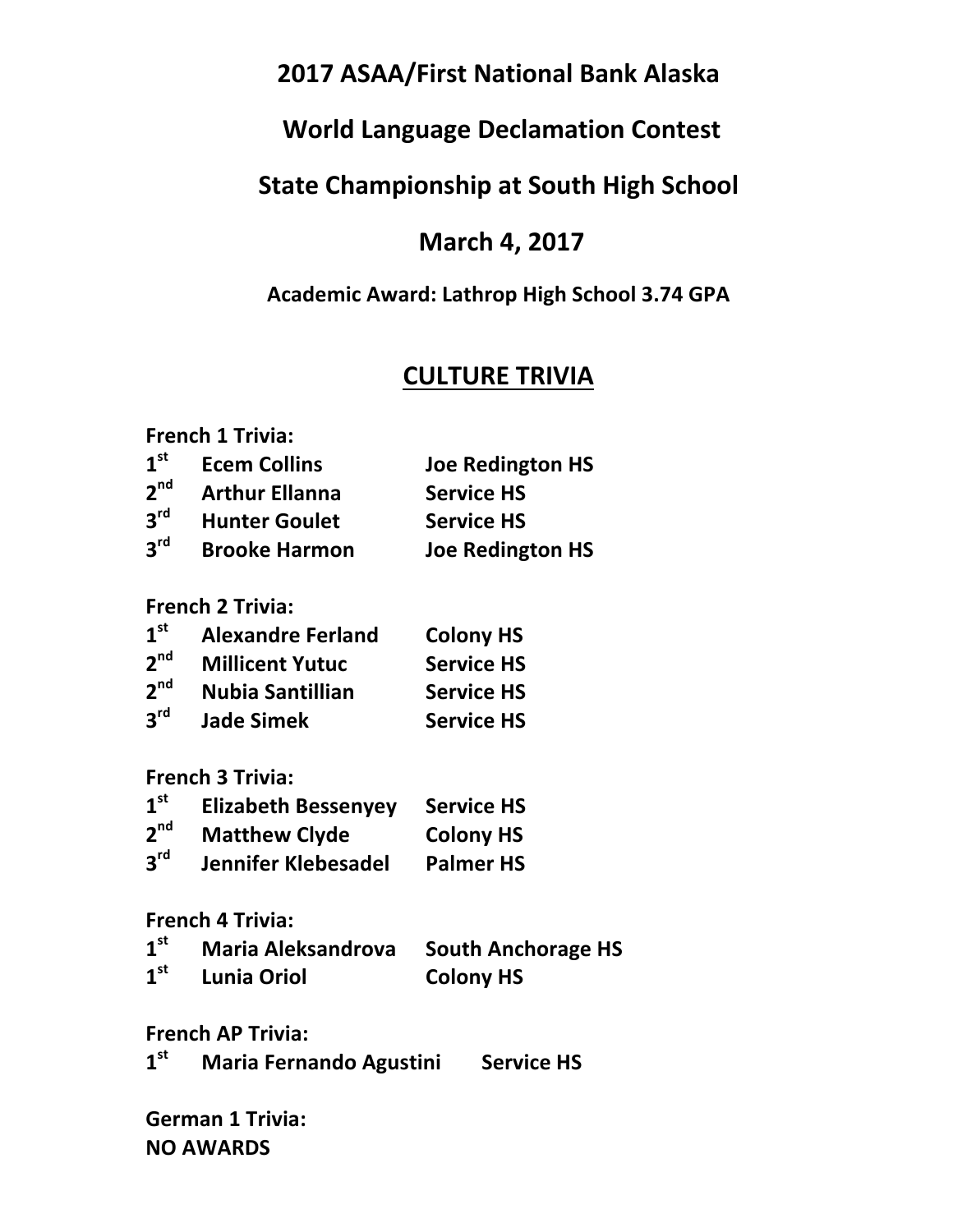# **2017 ASAA/First National Bank Alaska**

# **World Language Declamation Contest**

# **State Championship at South High School**

## **March 4, 2017**

### **Academic Award: Lathrop High School 3.74 GPA**

## **CULTURE TRIVIA**

| <b>French 1 Trivia:</b> |                       |                         |
|-------------------------|-----------------------|-------------------------|
| 1 <sup>st</sup>         | <b>Ecem Collins</b>   | <b>Joe Redington HS</b> |
| 2 <sup>nd</sup>         | <b>Arthur Ellanna</b> | <b>Service HS</b>       |
| $2^{\text{rd}}$         | <b>Hunter Goulet</b>  | <b>Service HS</b>       |
| $2^{\text{rd}}$         | <b>Brooke Harmon</b>  | <b>Joe Redington HS</b> |

**French 2 Trivia:**

| 1 <sup>st</sup> | <b>Alexandre Ferland</b> | <b>Colony HS</b>  |
|-----------------|--------------------------|-------------------|
| 2 <sup>nd</sup> | <b>Millicent Yutuc</b>   | <b>Service HS</b> |
| 2 <sup>nd</sup> | <b>Nubia Santillian</b>  | <b>Service HS</b> |
| 3 <sup>rd</sup> | <b>Jade Simek</b>        | <b>Service HS</b> |

**French 3 Trivia:**

| 1 <sup>st</sup> | <b>Elizabeth Bessenyey</b> | <b>Service HS</b> |
|-----------------|----------------------------|-------------------|
| 2 <sup>nd</sup> | <b>Matthew Clyde</b>       | <b>Colony HS</b>  |
| 3 <sup>rd</sup> | <b>Jennifer Klebesadel</b> | <b>Palmer HS</b>  |

**French 4 Trivia:**

| 1 <sup>st</sup> | <b>Maria Aleksandrova</b> South Anchorage HS |                  |
|-----------------|----------------------------------------------|------------------|
| 1 <sup>st</sup> | <b>Lunia Oriol</b>                           | <b>Colony HS</b> |

**French AP Trivia:**

| 1 <sup>st</sup> | <b>Maria Fernando Agustini</b> | <b>Service HS</b> |
|-----------------|--------------------------------|-------------------|
|-----------------|--------------------------------|-------------------|

**German 1 Trivia: NO AWARDS**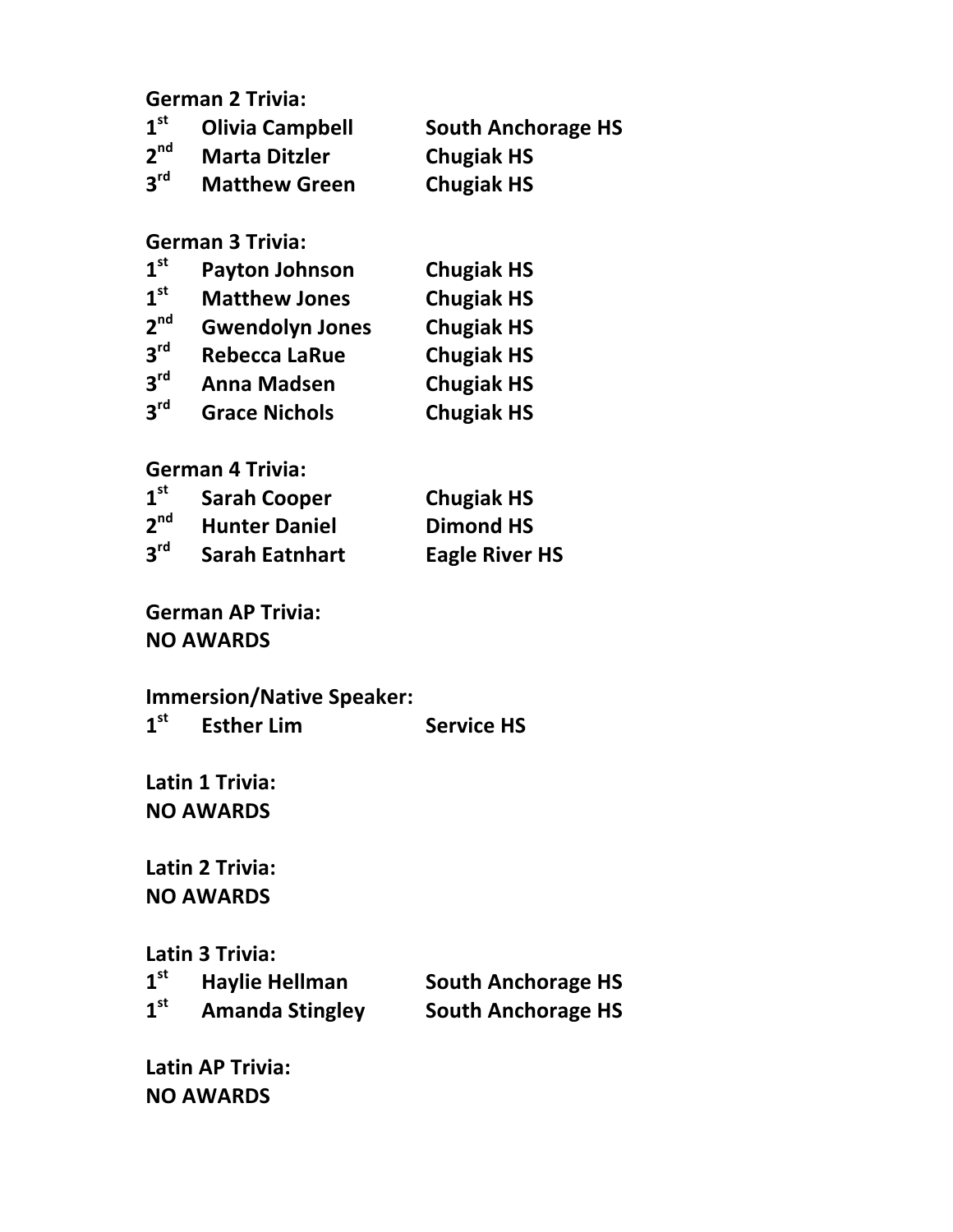**German 2 Trivia:**

| 1 <sup>st</sup> | <b>Olivia Campbell</b> | <b>South Anchorage HS</b> |
|-----------------|------------------------|---------------------------|
| 2 <sup>nd</sup> | <b>Marta Ditzler</b>   | <b>Chugiak HS</b>         |
| 3 <sup>rd</sup> | <b>Matthew Green</b>   | <b>Chugiak HS</b>         |

#### **German 3 Trivia:**

| 1 <sup>st</sup> | <b>Payton Johnson</b>  | <b>Chugiak HS</b> |
|-----------------|------------------------|-------------------|
| 1 <sup>st</sup> | <b>Matthew Jones</b>   | <b>Chugiak HS</b> |
| 2 <sup>nd</sup> | <b>Gwendolyn Jones</b> | <b>Chugiak HS</b> |
| 3 <sup>rd</sup> | <b>Rebecca LaRue</b>   | <b>Chugiak HS</b> |
| 3 <sup>rd</sup> | <b>Anna Madsen</b>     | <b>Chugiak HS</b> |
| 3 <sup>rd</sup> | <b>Grace Nichols</b>   | <b>Chugiak HS</b> |

### **German 4 Trivia:**

| 1 <sup>st</sup> | <b>Sarah Cooper</b>   | <b>Chugiak HS</b>     |
|-----------------|-----------------------|-----------------------|
| 2 <sup>nd</sup> | <b>Hunter Daniel</b>  | <b>Dimond HS</b>      |
| $3^{\text{rd}}$ | <b>Sarah Eatnhart</b> | <b>Eagle River HS</b> |

**German AP Trivia: NO AWARDS**

**Immersion/Native Speaker:**<br>1<sup>st</sup> Esther Lim **1Service HS** 

Latin 1 Trivia: **NO AWARDS**

**Latin 2 Trivia: NO AWARDS**

#### **Latin 3 Trivia:**

| 1 <sup>st</sup> | <b>Haylie Hellman</b>  | <b>South Anchorage HS</b> |
|-----------------|------------------------|---------------------------|
| 1 <sup>st</sup> | <b>Amanda Stingley</b> | <b>South Anchorage HS</b> |

**Latin AP Trivia: NO AWARDS**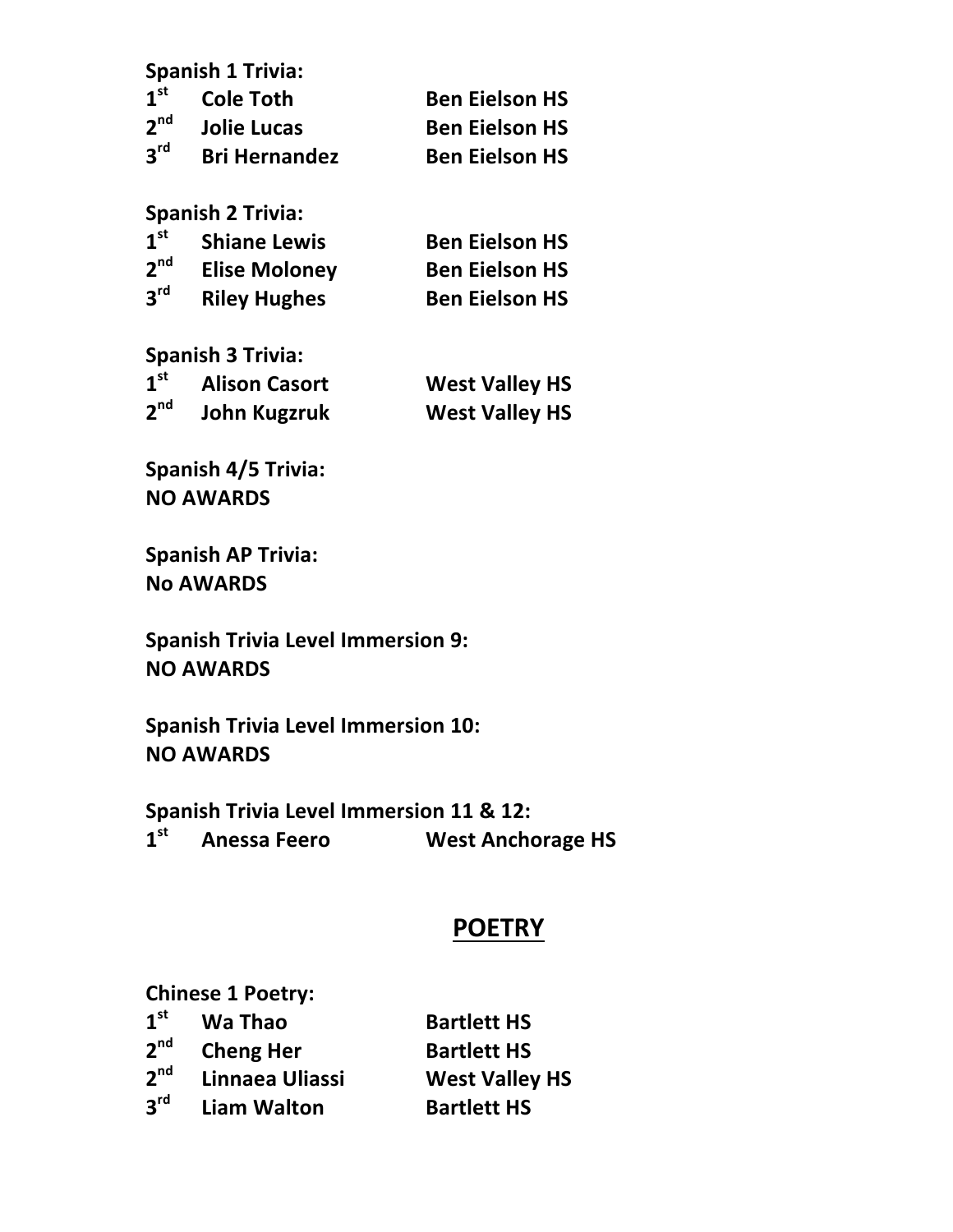|                 | <b>Spanish 1 Trivia:</b> |                       |
|-----------------|--------------------------|-----------------------|
| $1^{\rm st}$    | <b>Cole Toth</b>         | <b>Ben Eielson HS</b> |
| 2 <sup>nd</sup> | <b>Jolie Lucas</b>       | <b>Ben Eielson HS</b> |
| 3 <sup>rd</sup> | <b>Bri Hernandez</b>     | <b>Ben Eielson HS</b> |

**Spanish 2 Trivia:**

| 1 <sup>st</sup> | <b>Shiane Lewis</b>  | <b>Ben Eielson HS</b> |
|-----------------|----------------------|-----------------------|
| 2 <sup>nd</sup> | <b>Elise Moloney</b> | <b>Ben Eielson HS</b> |
| 3 <sup>rd</sup> | <b>Riley Hughes</b>  | <b>Ben Eielson HS</b> |

**Spanish 3 Trivia:**

| 1 <sup>st</sup> | <b>Alison Casort</b> | <b>West Valley HS</b> |
|-----------------|----------------------|-----------------------|
| 2 <sup>nd</sup> | <b>John Kugzruk</b>  | <b>West Valley HS</b> |

**Spanish 4/5 Trivia: NO AWARDS**

**Spanish AP Trivia: No AWARDS**

**Spanish Trivia Level Immersion 9: NO AWARDS**

**Spanish Trivia Level Immersion 10: NO AWARDS**

**Spanish Trivia Level Immersion 11 & 12: 1st Anessa Feero West Anchorage HS**

# **POETRY**

**Chinese 1 Poetry:** 

| 1 <sup>st</sup> | Wa Thao            | <b>Bartlett HS</b>    |
|-----------------|--------------------|-----------------------|
| 2 <sup>nd</sup> | <b>Cheng Her</b>   | <b>Bartlett HS</b>    |
| 2 <sup>nd</sup> | Linnaea Uliassi    | <b>West Valley HS</b> |
| 3 <sup>rd</sup> | <b>Liam Walton</b> | <b>Bartlett HS</b>    |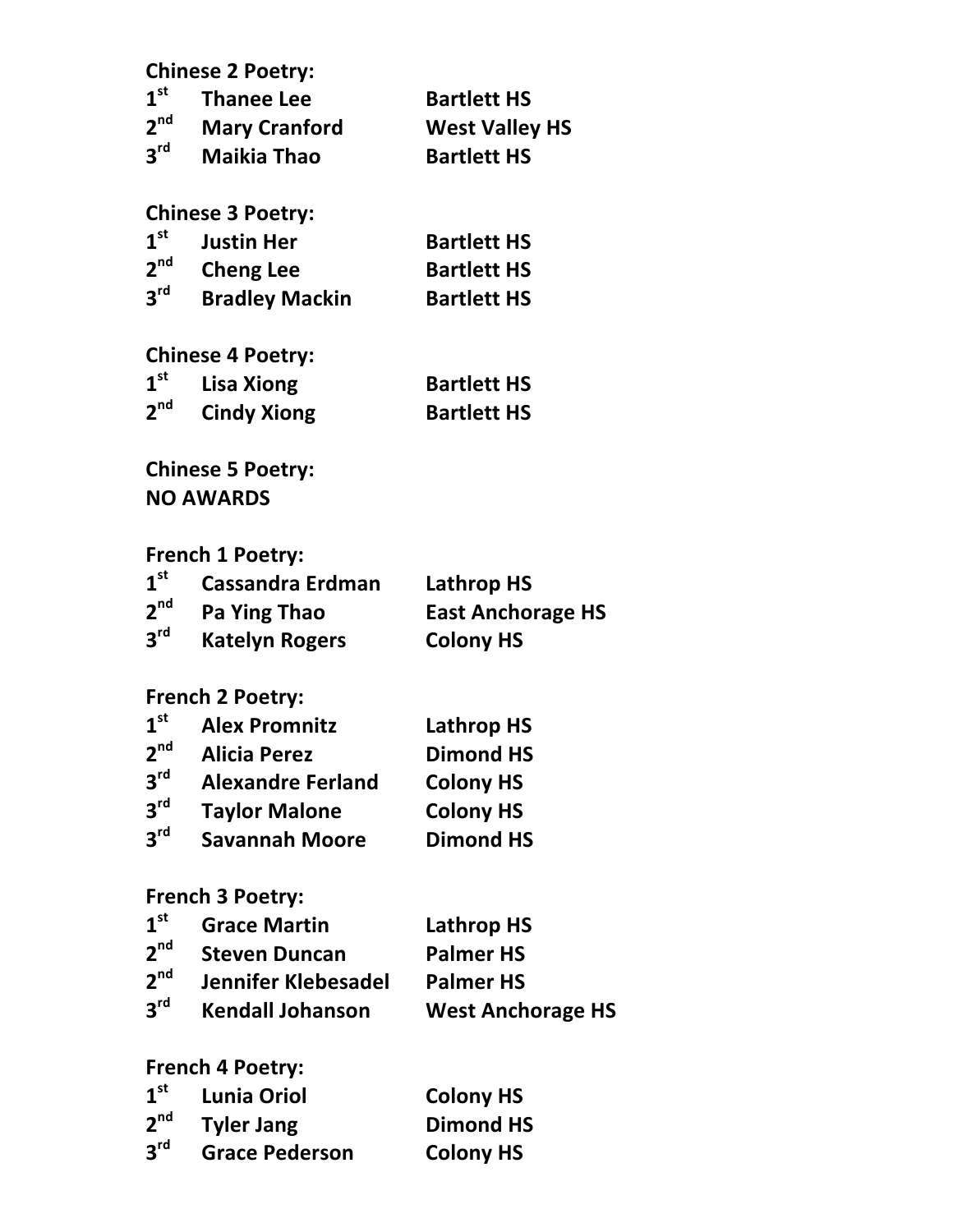|                   | <b>Chinese 2 Poetry:</b>   |                          |
|-------------------|----------------------------|--------------------------|
| $1^{\text{st}}$   | <b>Thanee Lee</b>          | <b>Bartlett HS</b>       |
| $2^{nd}$          | <b>Mary Cranford</b>       | <b>West Valley HS</b>    |
| $3^{\text{rd}}$   | <b>Maikia Thao</b>         | <b>Bartlett HS</b>       |
|                   |                            |                          |
|                   | <b>Chinese 3 Poetry:</b>   |                          |
| $1^{\rm st}$      | <b>Justin Her</b>          | <b>Bartlett HS</b>       |
| $2^{\text{nd}}$   | <b>Cheng Lee</b>           | <b>Bartlett HS</b>       |
| $3^{\text{rd}}$   | <b>Bradley Mackin</b>      | <b>Bartlett HS</b>       |
|                   |                            |                          |
| $1^{\rm st}$      | <b>Chinese 4 Poetry:</b>   |                          |
| $2^{nd}$          | <b>Lisa Xiong</b>          | <b>Bartlett HS</b>       |
|                   | <b>Cindy Xiong</b>         | <b>Bartlett HS</b>       |
|                   | <b>Chinese 5 Poetry:</b>   |                          |
|                   | <b>NO AWARDS</b>           |                          |
|                   |                            |                          |
|                   | <b>French 1 Poetry:</b>    |                          |
| 1 <sup>st</sup>   | <b>Cassandra Erdman</b>    | <b>Lathrop HS</b>        |
| 2 <sup>nd</sup>   | <b>Pa Ying Thao</b>        | <b>East Anchorage HS</b> |
| $3^{\text{rd}}$   | <b>Katelyn Rogers</b>      | <b>Colony HS</b>         |
|                   |                            |                          |
|                   | <b>French 2 Poetry:</b>    |                          |
| 1 <sup>st</sup>   | <b>Alex Promnitz</b>       | <b>Lathrop HS</b>        |
| $2^{\mathsf{nd}}$ | <b>Alicia Perez</b>        | <b>Dimond HS</b>         |
| 3 <sup>rd</sup>   | <b>Alexandre Ferland</b>   | <b>Colony HS</b>         |
| 3 <sup>rd</sup>   | <b>Taylor Malone</b>       | <b>Colony HS</b>         |
| 3 <sup>rd</sup>   | <b>Savannah Moore</b>      | <b>Dimond HS</b>         |
|                   |                            |                          |
| $1^{\rm st}$      | <b>French 3 Poetry:</b>    |                          |
|                   | <b>Grace Martin</b>        | <b>Lathrop HS</b>        |
| 2 <sup>nd</sup>   | <b>Steven Duncan</b>       | <b>Palmer HS</b>         |
| 2 <sup>nd</sup>   | <b>Jennifer Klebesadel</b> | <b>Palmer HS</b>         |
| $3^{\text{rd}}$   | <b>Kendall Johanson</b>    | <b>West Anchorage HS</b> |
|                   | <b>French 4 Poetry:</b>    |                          |
| 1 <sup>st</sup>   | <b>Lunia Oriol</b>         | <b>Colony HS</b>         |
| $2^{\text{nd}}$   | <b>Tyler Jang</b>          | <b>Dimond HS</b>         |
| $3^{\text{rd}}$   | <b>Grace Pederson</b>      | <b>Colony HS</b>         |
|                   |                            |                          |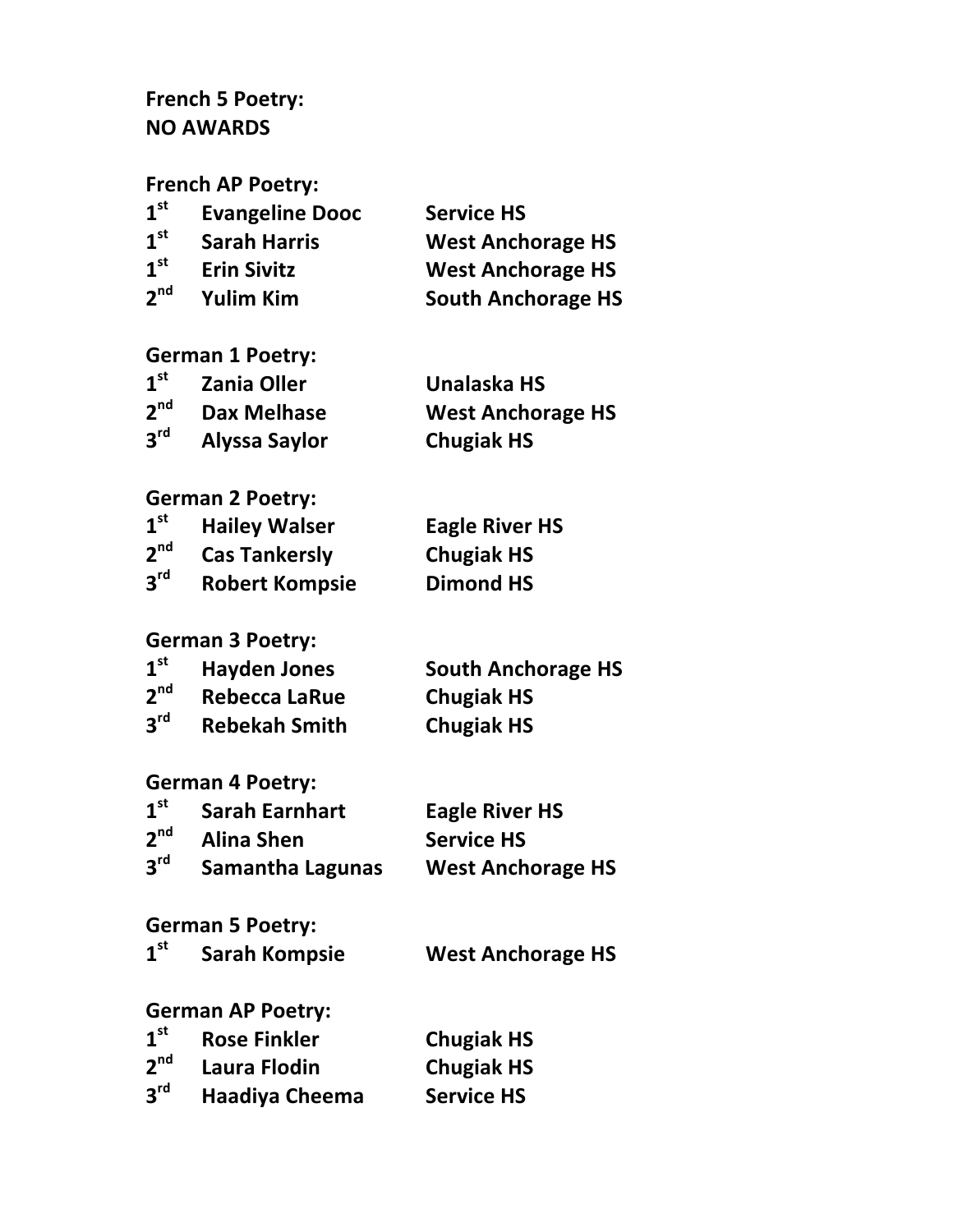## French 5 Poetry: **NO AWARDS**

**French AP Poetry:** 

| 1 <sup>st</sup> | <b>Evangeline Dooc</b> | <b>Service HS</b>         |
|-----------------|------------------------|---------------------------|
| 1 <sup>st</sup> | <b>Sarah Harris</b>    | <b>West Anchorage HS</b>  |
| 1 <sup>st</sup> | <b>Erin Sivitz</b>     | <b>West Anchorage HS</b>  |
| 2 <sup>nd</sup> | <b>Yulim Kim</b>       | <b>South Anchorage HS</b> |

#### **German 1 Poetry:**

| 1 <sup>st</sup> | <b>Zania Oller</b>   | Unalaska HS              |
|-----------------|----------------------|--------------------------|
| 2 <sup>nd</sup> | <b>Dax Melhase</b>   | <b>West Anchorage HS</b> |
| 3 <sup>rd</sup> | <b>Alyssa Saylor</b> | <b>Chugiak HS</b>        |

#### **German 2 Poetry:**

| 1 <sup>st</sup> | <b>Hailey Walser</b>  | <b>Eagle River HS</b> |
|-----------------|-----------------------|-----------------------|
| 2 <sup>nd</sup> | <b>Cas Tankersly</b>  | <b>Chugiak HS</b>     |
| 3 <sup>rd</sup> | <b>Robert Kompsie</b> | <b>Dimond HS</b>      |

#### **German 3 Poetry:**

| 1 <sup>st</sup> | <b>Hayden Jones</b>  | <b>South Anchorage HS</b> |
|-----------------|----------------------|---------------------------|
| 2 <sup>nd</sup> | <b>Rebecca LaRue</b> | <b>Chugiak HS</b>         |
| 3 <sup>rd</sup> | <b>Rebekah Smith</b> | <b>Chugiak HS</b>         |

#### **German 4 Poetry:**

| 1 <sup>st</sup> | <b>Sarah Earnhart</b>   | <b>Eagle River HS</b>    |
|-----------------|-------------------------|--------------------------|
| 2 <sup>nd</sup> | <b>Alina Shen</b>       | <b>Service HS</b>        |
| 3 <sup>rd</sup> | <b>Samantha Lagunas</b> | <b>West Anchorage HS</b> |

## **German 5 Poetry:**

| 1 <sup>st</sup> | <b>Sarah Kompsie</b> | <b>West Anchorage HS</b> |
|-----------------|----------------------|--------------------------|
|-----------------|----------------------|--------------------------|

### **German AP Poetry:**

| 1 <sup>st</sup> | <b>Rose Finkler</b>   | <b>Chugiak HS</b> |
|-----------------|-----------------------|-------------------|
| 2 <sup>nd</sup> | Laura Flodin          | <b>Chugiak HS</b> |
| $3^{\text{rd}}$ | <b>Haadiya Cheema</b> | <b>Service HS</b> |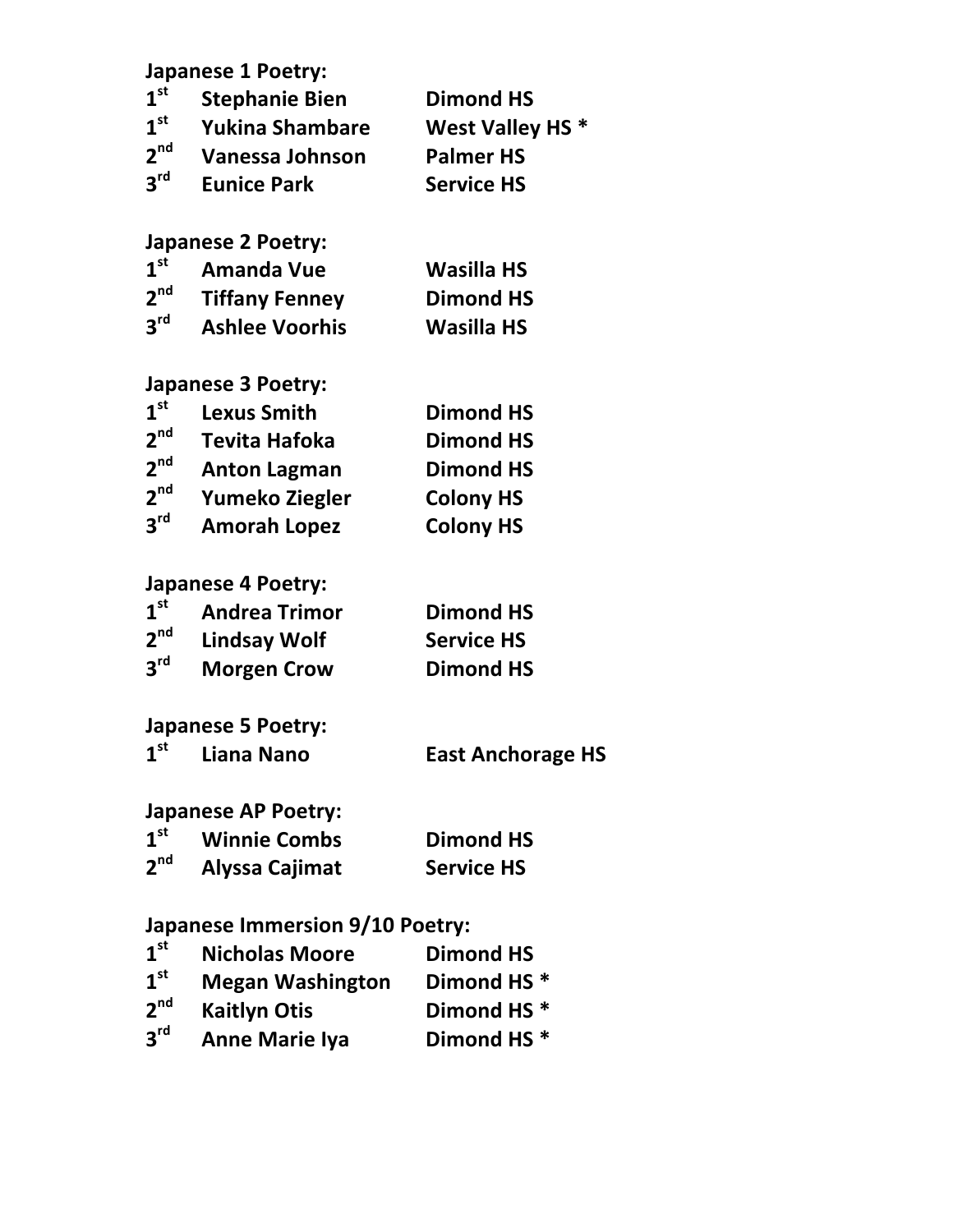|                 | <b>Japanese 1 Poetry:</b>              |                          |
|-----------------|----------------------------------------|--------------------------|
| 1 <sup>st</sup> | <b>Stephanie Bien</b>                  | <b>Dimond HS</b>         |
| $1^{\rm st}$    | <b>Yukina Shambare</b>                 | West Valley HS*          |
| 2 <sup>nd</sup> | Vanessa Johnson                        | <b>Palmer HS</b>         |
| $3^{\text{rd}}$ | <b>Eunice Park</b>                     | <b>Service HS</b>        |
|                 | <b>Japanese 2 Poetry:</b>              |                          |
| 1 <sup>st</sup> | <b>Amanda Vue</b>                      | <b>Wasilla HS</b>        |
| 2 <sup>nd</sup> | <b>Tiffany Fenney</b>                  | <b>Dimond HS</b>         |
| $3^{\text{rd}}$ | <b>Ashlee Voorhis</b>                  | <b>Wasilla HS</b>        |
|                 | <b>Japanese 3 Poetry:</b>              |                          |
| 1 <sup>st</sup> | <b>Lexus Smith</b>                     | <b>Dimond HS</b>         |
| 2 <sup>nd</sup> | <b>Tevita Hafoka</b>                   | <b>Dimond HS</b>         |
| 2 <sup>nd</sup> | <b>Anton Lagman</b>                    | <b>Dimond HS</b>         |
| 2 <sup>nd</sup> | Yumeko Ziegler                         | <b>Colony HS</b>         |
| $3^{\text{rd}}$ | <b>Amorah Lopez</b>                    | <b>Colony HS</b>         |
|                 | <b>Japanese 4 Poetry:</b>              |                          |
| $1^{\rm st}$    | <b>Andrea Trimor</b>                   | <b>Dimond HS</b>         |
| $2^{nd}$        | <b>Lindsay Wolf</b>                    | <b>Service HS</b>        |
| 3 <sup>rd</sup> | <b>Morgen Crow</b>                     | <b>Dimond HS</b>         |
|                 | <b>Japanese 5 Poetry:</b>              |                          |
| 1 <sup>st</sup> | Liana Nano                             | <b>East Anchorage HS</b> |
|                 | <b>Japanese AP Poetry:</b>             |                          |
| 1 <sup>st</sup> | <b>Winnie Combs</b>                    | <b>Dimond HS</b>         |
| 2 <sup>nd</sup> | Alyssa Cajimat                         | <b>Service HS</b>        |
|                 | <b>Japanese Immersion 9/10 Poetry:</b> |                          |
| 1 <sup>st</sup> | <b>Nicholas Moore</b>                  | <b>Dimond HS</b>         |
| 1 <sup>st</sup> | Megan Washington                       | Dimond HS <sup>*</sup>   |
| 2 <sup>nd</sup> | <b>Kaitlyn Otis</b>                    | Dimond HS <sup>*</sup>   |
| $3^{\text{rd}}$ | <b>Anne Marie Iya</b>                  | Dimond HS <sup>*</sup>   |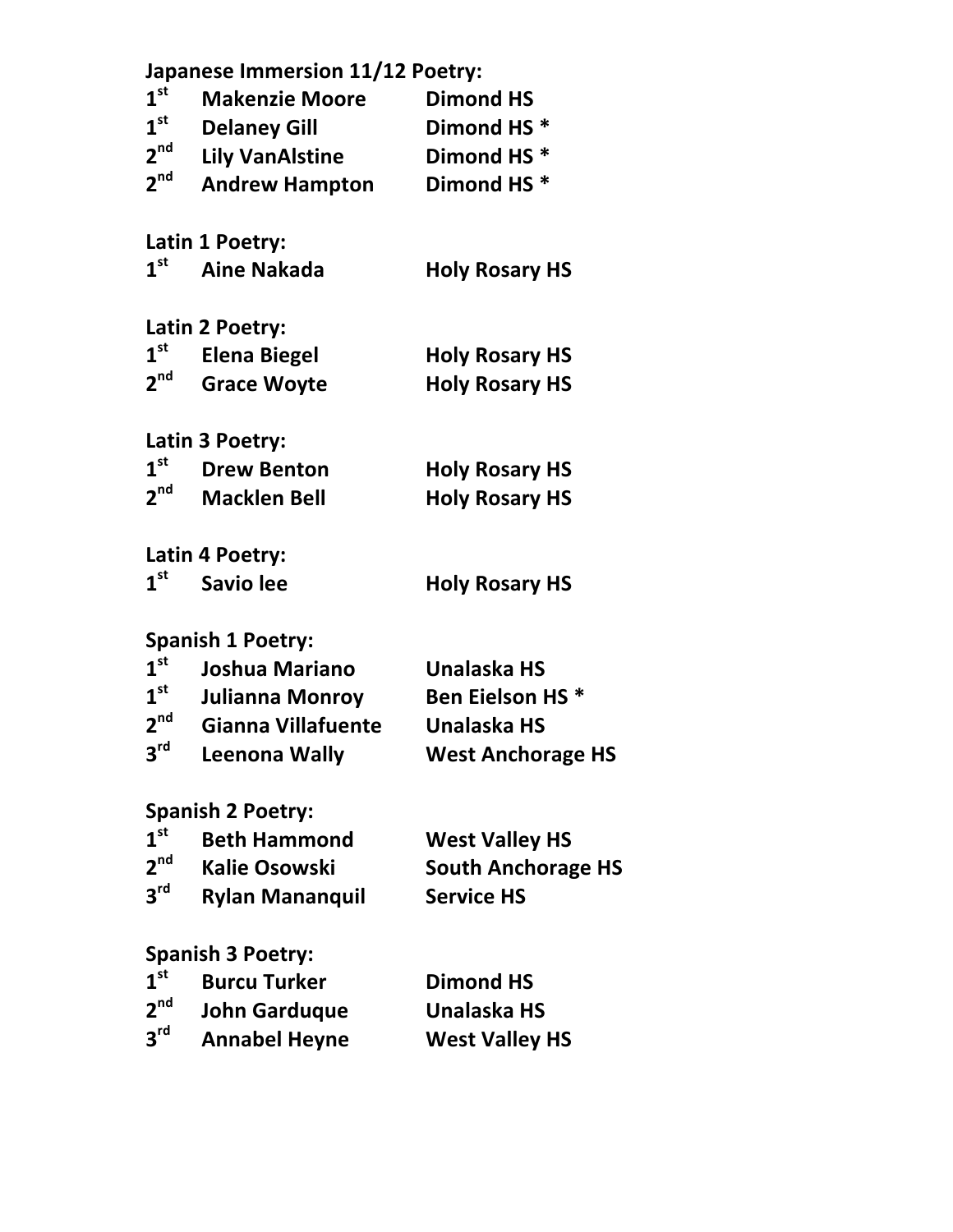|                 | <b>Japanese Immersion 11/12 Poetry:</b> |                           |
|-----------------|-----------------------------------------|---------------------------|
| 1 <sup>st</sup> | <b>Makenzie Moore</b>                   | <b>Dimond HS</b>          |
| $1^{\rm st}$    | <b>Delaney Gill</b>                     | Dimond HS <sup>*</sup>    |
| 2 <sup>nd</sup> | <b>Lily VanAlstine</b>                  | Dimond HS <sup>*</sup>    |
| 2 <sup>nd</sup> | <b>Andrew Hampton</b>                   | Dimond HS <sup>*</sup>    |
|                 | Latin 1 Poetry:                         |                           |
| 1 <sup>st</sup> | <b>Aine Nakada</b>                      | <b>Holy Rosary HS</b>     |
|                 | Latin 2 Poetry:                         |                           |
| $1^{\rm st}$    | <b>Elena Biegel</b>                     | <b>Holy Rosary HS</b>     |
| 2 <sup>nd</sup> | <b>Grace Woyte</b>                      | <b>Holy Rosary HS</b>     |
|                 | Latin 3 Poetry:                         |                           |
| $1^{\rm st}$    | <b>Drew Benton</b>                      | <b>Holy Rosary HS</b>     |
| 2 <sup>nd</sup> | <b>Macklen Bell</b>                     | <b>Holy Rosary HS</b>     |
|                 | Latin 4 Poetry:                         |                           |
| 1 <sup>st</sup> | <b>Savio lee</b>                        | <b>Holy Rosary HS</b>     |
|                 | <b>Spanish 1 Poetry:</b>                |                           |
| 1 <sup>st</sup> | <b>Joshua Mariano</b>                   | <b>Unalaska HS</b>        |
| $1^{\rm st}$    | Julianna Monroy                         | <b>Ben Eielson HS*</b>    |
| 2 <sup>nd</sup> | Gianna Villafuente                      | <b>Unalaska HS</b>        |
| $2^{\text{rd}}$ | Leenona Wally                           | <b>West Anchorage HS</b>  |
|                 | <b>Spanish 2 Poetry:</b>                |                           |
| 1 <sup>st</sup> | <b>Beth Hammond</b>                     | <b>West Valley HS</b>     |
| $2^{nd}$        | <b>Kalie Osowski</b>                    | <b>South Anchorage HS</b> |
| $3^{\text{rd}}$ | <b>Rylan Mananquil</b>                  | <b>Service HS</b>         |
|                 | <b>Spanish 3 Poetry:</b>                |                           |
| 1 <sup>st</sup> | <b>Burcu Turker</b>                     | <b>Dimond HS</b>          |
| 2 <sup>nd</sup> | John Garduque                           | <b>Unalaska HS</b>        |
| $3^{\text{rd}}$ | <b>Annabel Heyne</b>                    | <b>West Valley HS</b>     |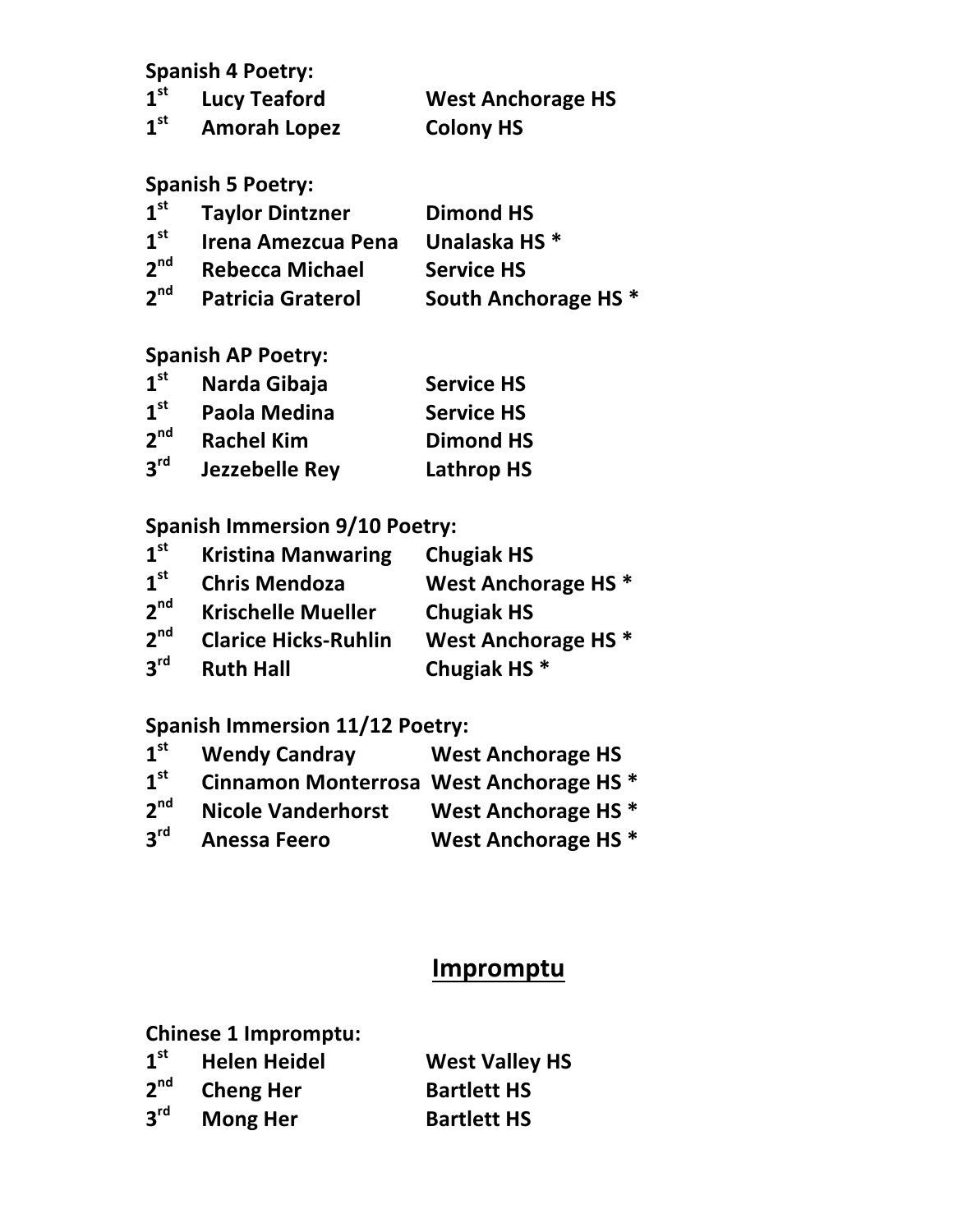## **Spanish 4 Poetry:**

|                 | $1st$ Lucy Teaford  | <b>West Anchorage HS</b> |
|-----------------|---------------------|--------------------------|
| 1 <sup>st</sup> | <b>Amorah Lopez</b> | <b>Colony HS</b>         |
|                 | .                   |                          |

#### **Spanish 5 Poetry:**

| 1 <sup>st</sup> | <b>Taylor Dintzner</b>    | <b>Dimond HS</b>                |
|-----------------|---------------------------|---------------------------------|
| 1 <sup>st</sup> | <b>Irena Amezcua Pena</b> | Unalaska HS <sup>*</sup>        |
| 2 <sup>nd</sup> | <b>Rebecca Michael</b>    | <b>Service HS</b>               |
| 2 <sup>nd</sup> | <b>Patricia Graterol</b>  | South Anchorage HS <sup>*</sup> |

## **Spanish AP Poetry:**

| 1 <sup>st</sup> | Narda Gibaja          | <b>Service HS</b> |
|-----------------|-----------------------|-------------------|
| 1 <sup>st</sup> | Paola Medina          | <b>Service HS</b> |
| 2 <sup>nd</sup> | <b>Rachel Kim</b>     | <b>Dimond HS</b>  |
| 3 <sup>rd</sup> | <b>Jezzebelle Rey</b> | <b>Lathrop HS</b> |

# **Spanish Immersion 9/10 Poetry:**

| 1 <sup>st</sup> | <b>Kristina Manwaring</b>   | <b>Chugiak HS</b>              |
|-----------------|-----------------------------|--------------------------------|
| 1 <sup>st</sup> | <b>Chris Mendoza</b>        | West Anchorage HS <sup>*</sup> |
| 2 <sup>nd</sup> | <b>Krischelle Mueller</b>   | <b>Chugiak HS</b>              |
| 2 <sup>nd</sup> | <b>Clarice Hicks-Ruhlin</b> | West Anchorage HS <sup>*</sup> |
| 3 <sup>rd</sup> | <b>Ruth Hall</b>            | Chugiak HS <sup>*</sup>        |

## **Spanish Immersion 11/12 Poetry:**

| 1 <sup>st</sup> | <b>Wendy Candray</b>                               | <b>West Anchorage HS</b>       |
|-----------------|----------------------------------------------------|--------------------------------|
| 1 <sup>st</sup> | Cinnamon Monterrosa West Anchorage HS <sup>*</sup> |                                |
| 2 <sup>nd</sup> | <b>Nicole Vanderhorst</b>                          | West Anchorage HS <sup>*</sup> |
| 3 <sup>rd</sup> | <b>Anessa Feero</b>                                | West Anchorage HS <sup>*</sup> |

# **Impromptu**

|  | <b>Chinese 1 Impromptu:</b> |
|--|-----------------------------|
|  | 45 - 11 - 11 - 11 - 1       |

| $\boldsymbol{1}^{\textsf{st}}$ | <b>Helen Heidel</b> | <b>West Valley HS</b> |
|--------------------------------|---------------------|-----------------------|
| $\mathbf{2}^{\mathsf{nd}}$     | <b>Cheng Her</b>    | <b>Bartlett HS</b>    |
| $\mathbf{3}^{\mathsf{rd}}$     | <b>Mong Her</b>     | <b>Bartlett HS</b>    |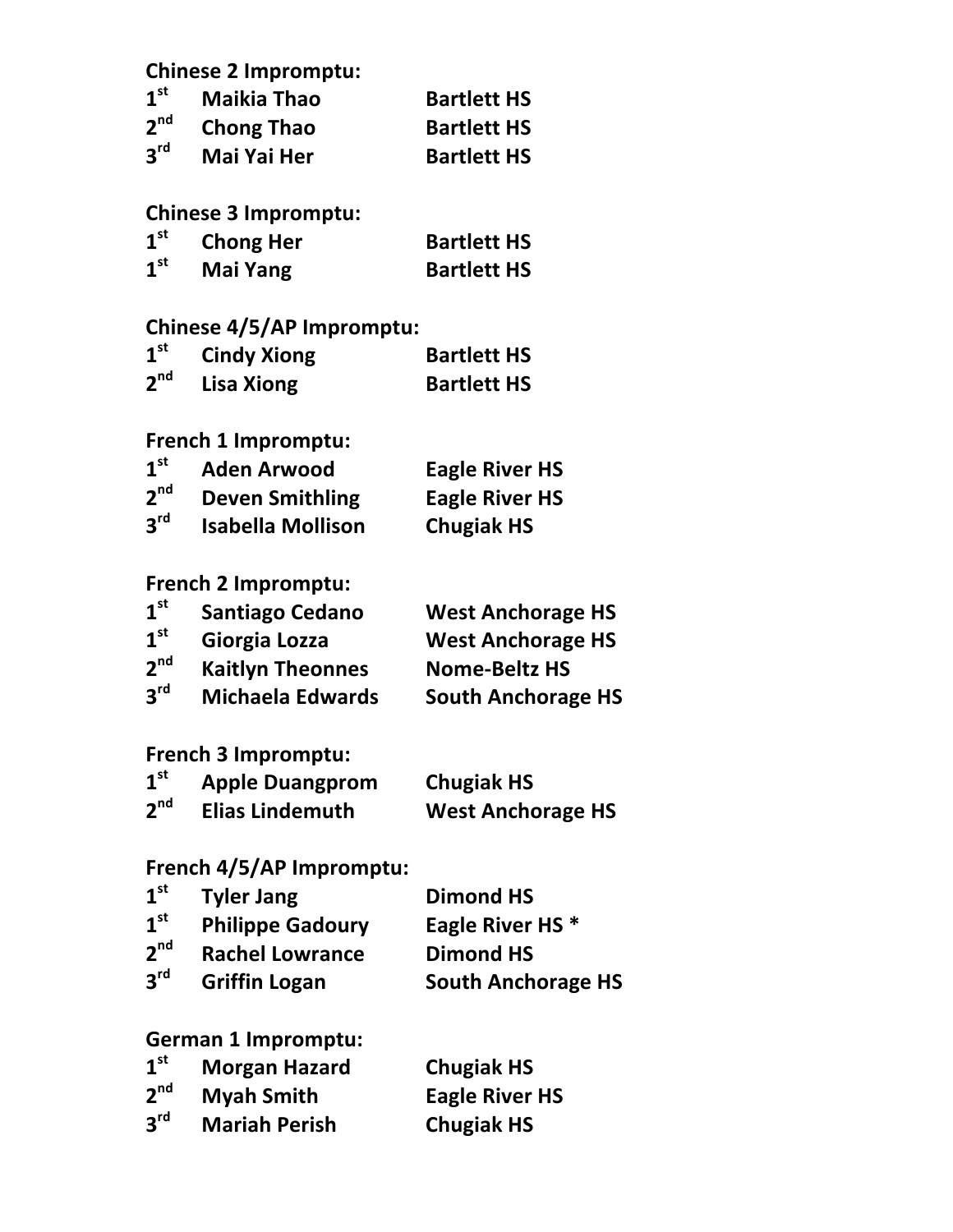### **Chinese 2 Impromptu:**

| 1 <sup>st</sup> | <b>Maikia Thao</b> | <b>Bartlett HS</b> |
|-----------------|--------------------|--------------------|
| 2 <sup>nd</sup> | <b>Chong Thao</b>  | <b>Bartlett HS</b> |
| 3 <sup>rd</sup> | <b>Mai Yai Her</b> | <b>Bartlett HS</b> |

### **Chinese 3 Impromptu:**

| 1 <sup>st</sup> | <b>Chong Her</b> | <b>Bartlett HS</b> |
|-----------------|------------------|--------------------|
| 1 <sup>st</sup> | Mai Yang         | <b>Bartlett HS</b> |

#### **Chinese 4/5/AP Impromptu:**

| 1 <sup>st</sup> | <b>Cindy Xiong</b> | <b>Bartlett HS</b> |
|-----------------|--------------------|--------------------|
| 2 <sup>nd</sup> | <b>Lisa Xiong</b>  | <b>Bartlett HS</b> |

## **French 1 Impromptu:**

| 1 <sup>st</sup> | <b>Aden Arwood</b>       | <b>Eagle River HS</b> |
|-----------------|--------------------------|-----------------------|
| 2 <sup>nd</sup> | <b>Deven Smithling</b>   | <b>Eagle River HS</b> |
| 3 <sup>rd</sup> | <b>Isabella Mollison</b> | <b>Chugiak HS</b>     |

### **French 2 Impromptu:**

| 1 <sup>st</sup> | <b>Santiago Cedano</b>  | <b>West Anchorage HS</b>  |
|-----------------|-------------------------|---------------------------|
| 1 <sup>st</sup> | Giorgia Lozza           | <b>West Anchorage HS</b>  |
| 2 <sup>nd</sup> | <b>Kaitlyn Theonnes</b> | <b>Nome-Beltz HS</b>      |
| $2^{\text{rd}}$ | <b>Michaela Edwards</b> | <b>South Anchorage HS</b> |

#### **French 3 Impromptu:**

| 1 <sup>st</sup> | <b>Apple Duangprom</b> | <b>Chugiak HS</b>        |
|-----------------|------------------------|--------------------------|
| 2 <sup>nd</sup> | <b>Elias Lindemuth</b> | <b>West Anchorage HS</b> |

### **French 4/5/AP Impromptu:**

| 1 <sup>st</sup> | <b>Tyler Jang</b>       | <b>Dimond HS</b>            |
|-----------------|-------------------------|-----------------------------|
| 1 <sup>st</sup> | <b>Philippe Gadoury</b> | Eagle River HS <sup>*</sup> |
| 2 <sup>nd</sup> | <b>Rachel Lowrance</b>  | <b>Dimond HS</b>            |
| 3 <sup>rd</sup> | <b>Griffin Logan</b>    | <b>South Anchorage HS</b>   |

#### **German 1 Impromptu:**

| 1 <sup>st</sup> | <b>Morgan Hazard</b> | <b>Chugiak HS</b>     |
|-----------------|----------------------|-----------------------|
| 2 <sup>nd</sup> | <b>Myah Smith</b>    | <b>Eagle River HS</b> |
| 3 <sup>rd</sup> | <b>Mariah Perish</b> | <b>Chugiak HS</b>     |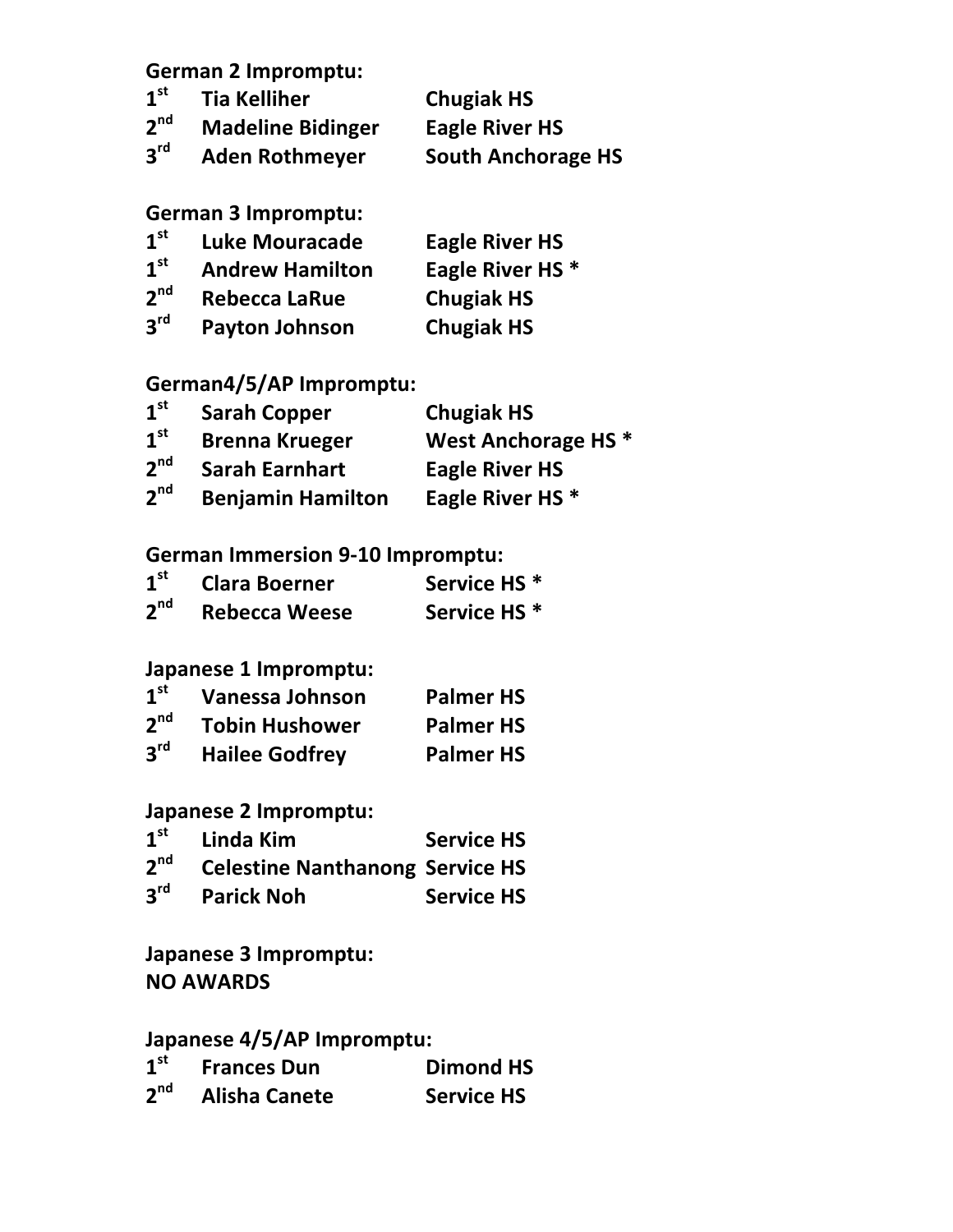**German 2 Impromptu:**

| 1 <sup>st</sup> | <b>Tia Kelliher</b>      | <b>Chugiak HS</b>         |
|-----------------|--------------------------|---------------------------|
| 2 <sup>nd</sup> | <b>Madeline Bidinger</b> | <b>Eagle River HS</b>     |
| 3 <sup>rd</sup> | <b>Aden Rothmeyer</b>    | <b>South Anchorage HS</b> |

#### **German 3 Impromptu:**

| 1 <sup>st</sup> | <b>Luke Mouracade</b>  | <b>Eagle River HS</b>       |
|-----------------|------------------------|-----------------------------|
| 1 <sup>st</sup> | <b>Andrew Hamilton</b> | Eagle River HS <sup>*</sup> |
| 2 <sup>nd</sup> | <b>Rebecca LaRue</b>   | <b>Chugiak HS</b>           |
| 3 <sup>rd</sup> | <b>Payton Johnson</b>  | <b>Chugiak HS</b>           |

# **German4/5/AP Impromptu:**

| 1 <sup>st</sup> | <b>Sarah Copper</b>      | <b>Chugiak HS</b>              |
|-----------------|--------------------------|--------------------------------|
| 1 <sup>st</sup> | <b>Brenna Krueger</b>    | West Anchorage HS <sup>*</sup> |
| 2 <sup>nd</sup> | <b>Sarah Earnhart</b>    | <b>Eagle River HS</b>          |
| 2 <sup>nd</sup> | <b>Benjamin Hamilton</b> | Eagle River HS <sup>*</sup>    |

#### **German Immersion 9-10 Impromptu:**

| 1 <sup>st</sup> | <b>Clara Boerner</b> | Service HS <sup>*</sup> |
|-----------------|----------------------|-------------------------|
| 2 <sup>nd</sup> | <b>Rebecca Weese</b> | Service HS <sup>*</sup> |

### **Japanese 1 Impromptu:**

| 1 <sup>st</sup> | Vanessa Johnson       | <b>Palmer HS</b> |
|-----------------|-----------------------|------------------|
| 2 <sup>nd</sup> | <b>Tobin Hushower</b> | <b>Palmer HS</b> |
| $3^{\text{rd}}$ | <b>Hailee Godfrey</b> | <b>Palmer HS</b> |

#### **Japanese 2 Impromptu:**

|                 | 1 <sup>st</sup> Linda Kim                       | <b>Service HS</b> |
|-----------------|-------------------------------------------------|-------------------|
|                 | 2 <sup>nd</sup> Celestine Nanthanong Service HS |                   |
| $3^{\text{rd}}$ | <b>Parick Noh</b>                               | <b>Service HS</b> |

**Japanese 3 Impromptu: NO AWARDS**

### **Japanese 4/5/AP Impromptu:**

| 1 <sup>st</sup> | <b>Frances Dun</b>   | <b>Dimond HS</b>  |
|-----------------|----------------------|-------------------|
| 2 <sup>nd</sup> | <b>Alisha Canete</b> | <b>Service HS</b> |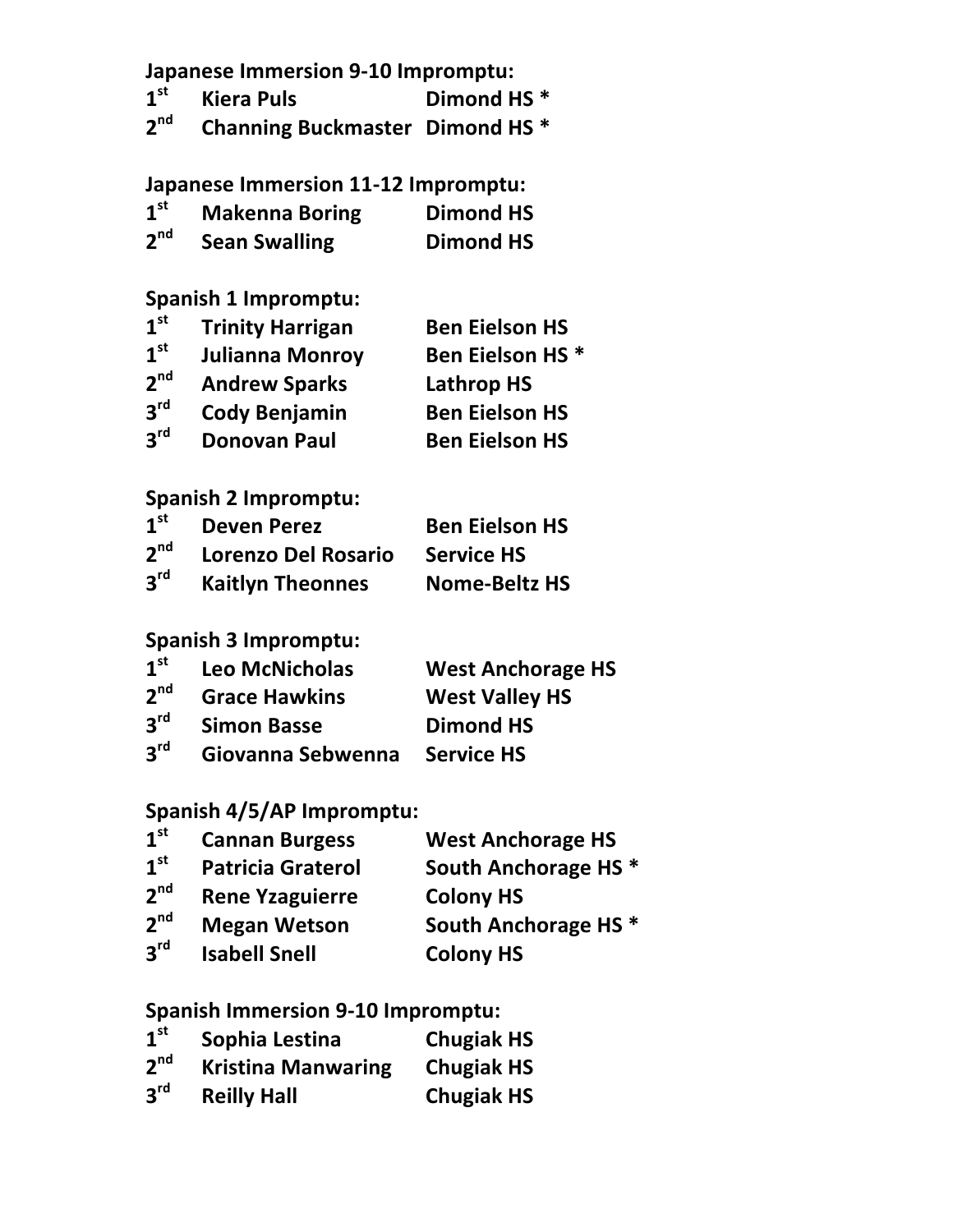|                 | <b>Japanese Immersion 9-10 Impromptu:</b>  |                                 |
|-----------------|--------------------------------------------|---------------------------------|
| 1 <sup>st</sup> | <b>Kiera Puls</b>                          | Dimond HS <sup>*</sup>          |
| $2^{nd}$        | <b>Channing Buckmaster Dimond HS *</b>     |                                 |
|                 | <b>Japanese Immersion 11-12 Impromptu:</b> |                                 |
| 1 <sup>st</sup> | <b>Makenna Boring</b>                      | <b>Dimond HS</b>                |
| $2^{nd}$        | <b>Sean Swalling</b>                       | <b>Dimond HS</b>                |
|                 | <b>Spanish 1 Impromptu:</b>                |                                 |
| 1 <sup>st</sup> | <b>Trinity Harrigan</b>                    | <b>Ben Eielson HS</b>           |
| 1 <sup>st</sup> | Julianna Monroy                            | <b>Ben Eielson HS *</b>         |
| 2 <sup>nd</sup> | <b>Andrew Sparks</b>                       | Lathrop HS                      |
| $3^{\text{rd}}$ | <b>Cody Benjamin</b>                       | <b>Ben Eielson HS</b>           |
| $3^{\text{rd}}$ | <b>Donovan Paul</b>                        | <b>Ben Eielson HS</b>           |
|                 | <b>Spanish 2 Impromptu:</b>                |                                 |
| 1 <sup>st</sup> | <b>Deven Perez</b>                         | <b>Ben Eielson HS</b>           |
| $2^{nd}$        | <b>Lorenzo Del Rosario</b>                 | <b>Service HS</b>               |
| $3^{\text{rd}}$ | <b>Kaitlyn Theonnes</b>                    | <b>Nome-Beltz HS</b>            |
|                 | <b>Spanish 3 Impromptu:</b>                |                                 |
| 1 <sup>st</sup> | <b>Leo McNicholas</b>                      | <b>West Anchorage HS</b>        |
| 2 <sup>nd</sup> | <b>Grace Hawkins</b>                       | <b>West Valley HS</b>           |
| 3 <sup>rd</sup> | <b>Simon Basse</b>                         | <b>Dimond HS</b>                |
| 3 <sup>rd</sup> | Giovanna Sebwenna                          | <b>Service HS</b>               |
|                 | Spanish 4/5/AP Impromptu:                  |                                 |
| 1 <sup>st</sup> | <b>Cannan Burgess</b>                      | <b>West Anchorage HS</b>        |
| 1 <sup>st</sup> | <b>Patricia Graterol</b>                   | South Anchorage HS <sup>*</sup> |
| 2 <sup>nd</sup> | <b>Rene Yzaguierre</b>                     | <b>Colony HS</b>                |
| 2 <sup>nd</sup> | <b>Megan Wetson</b>                        | South Anchorage HS *            |
| 3 <sup>rd</sup> | <b>Isabell Snell</b>                       | <b>Colony HS</b>                |
|                 |                                            |                                 |

# Spanish Immersion 9-10 Impromptu:

| 1 <sup>st</sup> | Sophia Lestina            | <b>Chugiak HS</b> |
|-----------------|---------------------------|-------------------|
| 2 <sup>nd</sup> | <b>Kristina Manwaring</b> | <b>Chugiak HS</b> |
| 3 <sup>rd</sup> | <b>Reilly Hall</b>        | <b>Chugiak HS</b> |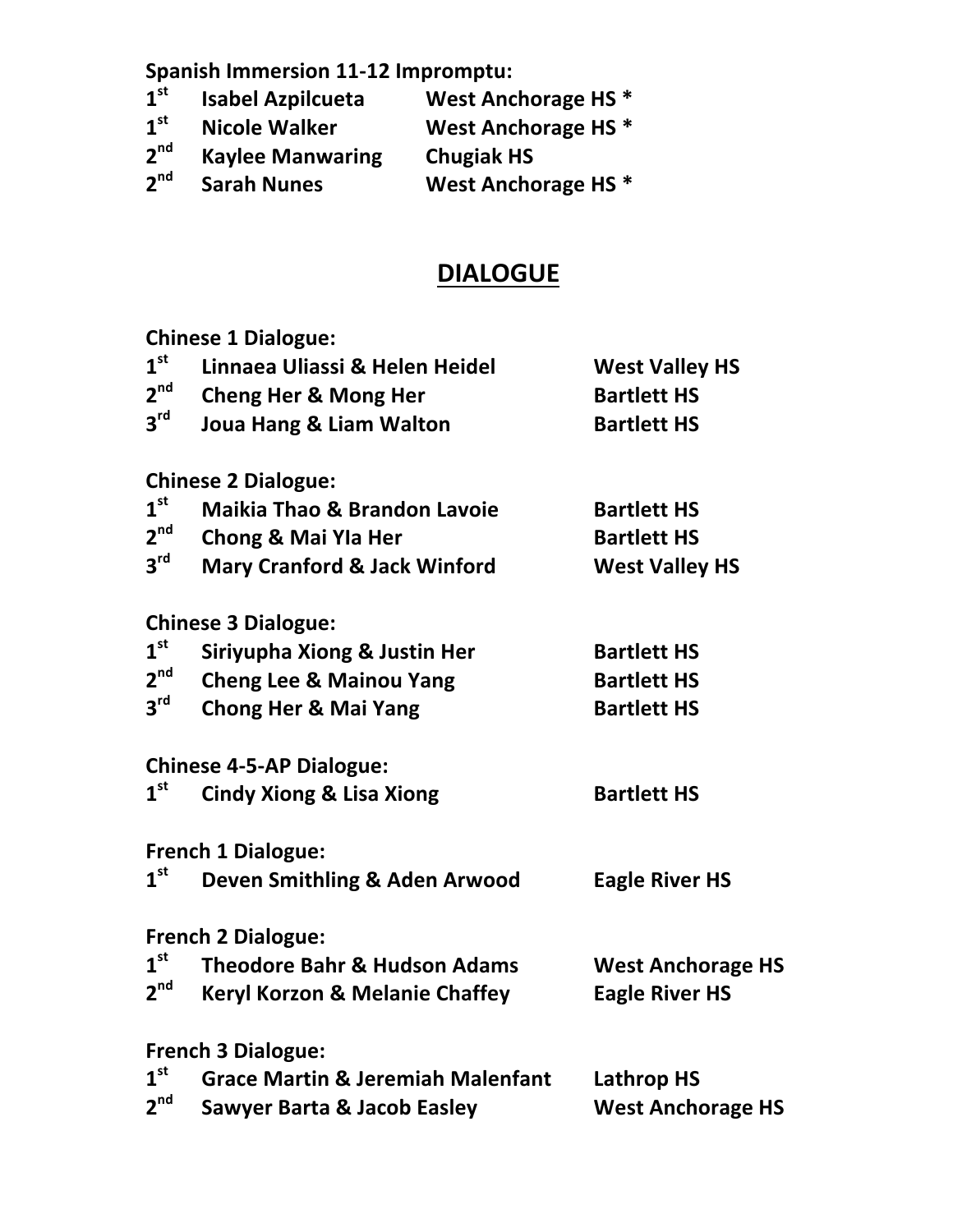**Spanish Immersion 11-12 Impromptu:** 

| $1^{\rm st}$    | <b>Isabel Azpilcueta</b> | West Anchorage HS <sup>*</sup> |
|-----------------|--------------------------|--------------------------------|
| $1^{\rm st}$    | <b>Nicole Walker</b>     | West Anchorage HS <sup>*</sup> |
| 2 <sup>nd</sup> | <b>Kaylee Manwaring</b>  | <b>Chugiak HS</b>              |
| $2^{\text{nd}}$ | <b>Sarah Nunes</b>       | West Anchorage HS <sup>*</sup> |

# **DIALOGUE**

**Chinese 1 Dialogue:**

| 1 <sup>st</sup> | Linnaea Uliassi & Helen Heidel               | <b>West Valley HS</b>    |
|-----------------|----------------------------------------------|--------------------------|
| 2 <sup>nd</sup> | <b>Cheng Her &amp; Mong Her</b>              | <b>Bartlett HS</b>       |
| $3^{\text{rd}}$ | <b>Joua Hang &amp; Liam Walton</b>           | <b>Bartlett HS</b>       |
|                 | <b>Chinese 2 Dialogue:</b>                   |                          |
| 1 <sup>st</sup> | <b>Maikia Thao &amp; Brandon Lavoie</b>      | <b>Bartlett HS</b>       |
| 2 <sup>nd</sup> | <b>Chong &amp; Mai Yla Her</b>               | <b>Bartlett HS</b>       |
| $3^{\text{rd}}$ | <b>Mary Cranford &amp; Jack Winford</b>      | <b>West Valley HS</b>    |
|                 | <b>Chinese 3 Dialogue:</b>                   |                          |
| 1 <sup>st</sup> | Siriyupha Xiong & Justin Her                 | <b>Bartlett HS</b>       |
| 2 <sup>nd</sup> | <b>Cheng Lee &amp; Mainou Yang</b>           | <b>Bartlett HS</b>       |
| 3 <sup>rd</sup> | <b>Chong Her &amp; Mai Yang</b>              | <b>Bartlett HS</b>       |
|                 | <b>Chinese 4-5-AP Dialogue:</b>              |                          |
| 1 <sup>st</sup> | <b>Cindy Xiong &amp; Lisa Xiong</b>          | <b>Bartlett HS</b>       |
|                 | <b>French 1 Dialogue:</b>                    |                          |
| 1 <sup>st</sup> | Deven Smithling & Aden Arwood                | <b>Eagle River HS</b>    |
|                 | <b>French 2 Dialogue:</b>                    |                          |
| 1 <sup>st</sup> | <b>Theodore Bahr &amp; Hudson Adams</b>      | <b>West Anchorage HS</b> |
| 2 <sup>nd</sup> | <b>Keryl Korzon &amp; Melanie Chaffey</b>    | <b>Eagle River HS</b>    |
|                 | <b>French 3 Dialogue:</b>                    |                          |
| 1 <sup>st</sup> | <b>Grace Martin &amp; Jeremiah Malenfant</b> | <b>Lathrop HS</b>        |
| 2 <sup>nd</sup> | <b>Sawyer Barta &amp; Jacob Easley</b>       | <b>West Anchorage HS</b> |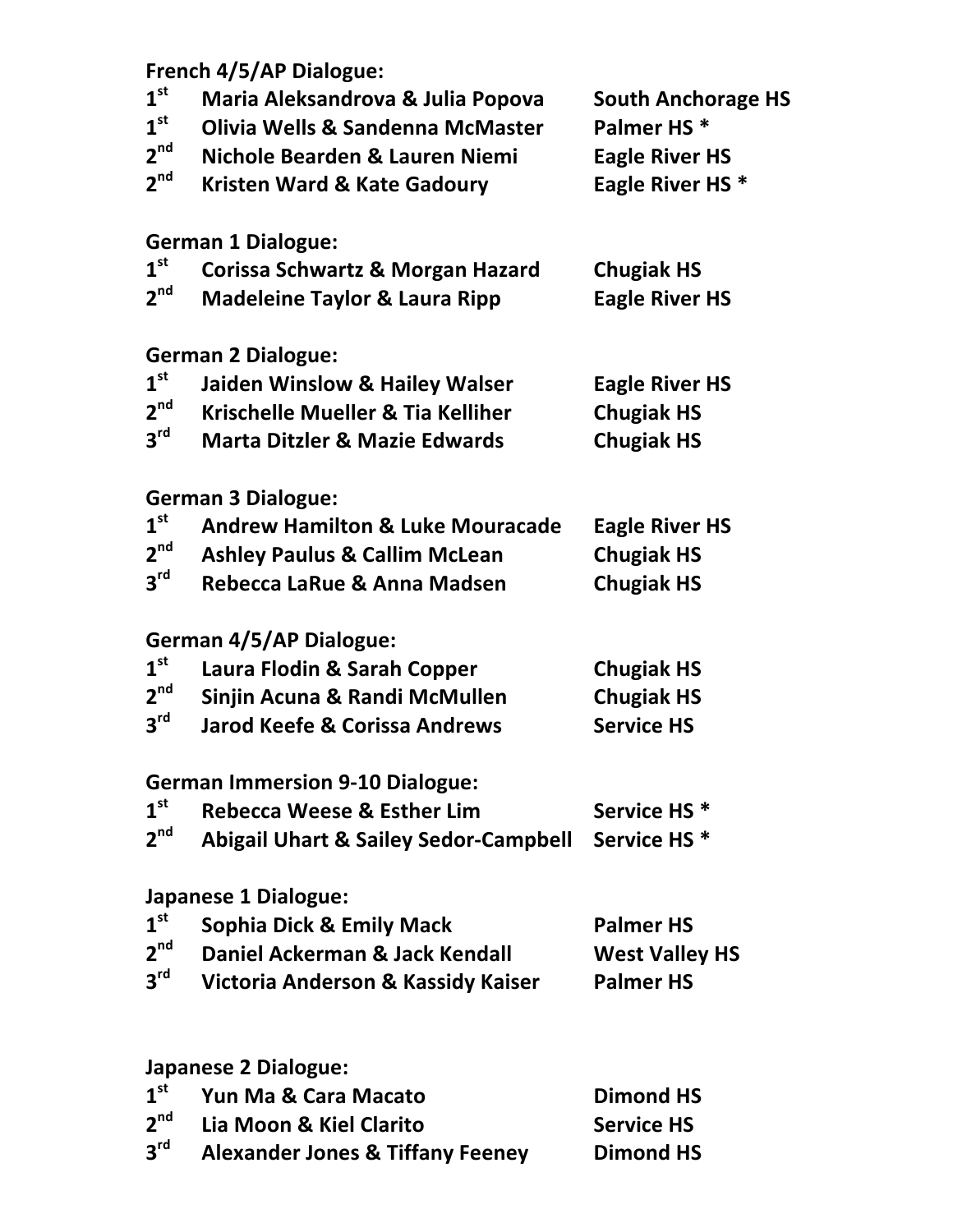### **French 4/5/AP Dialogue:**

| $1^{\rm st}$<br>$1^{\rm st}$ | Maria Aleksandrova & Julia Popova<br><b>Olivia Wells &amp; Sandenna McMaster</b> | <b>South Anchorage HS</b><br>Palmer HS <sup>*</sup> |
|------------------------------|----------------------------------------------------------------------------------|-----------------------------------------------------|
| 2 <sup>nd</sup>              | Nichole Bearden & Lauren Niemi                                                   | <b>Eagle River HS</b>                               |
| $2^{nd}$                     | <b>Kristen Ward &amp; Kate Gadoury</b>                                           | Eagle River HS*                                     |
|                              | <b>German 1 Dialogue:</b>                                                        |                                                     |
| $1^{\rm st}$                 | Corissa Schwartz & Morgan Hazard                                                 | <b>Chugiak HS</b>                                   |
| 2 <sup>nd</sup>              | <b>Madeleine Taylor &amp; Laura Ripp</b>                                         | <b>Eagle River HS</b>                               |
|                              | <b>German 2 Dialogue:</b>                                                        |                                                     |
| $1^{\rm st}$                 | <b>Jaiden Winslow &amp; Hailey Walser</b>                                        | <b>Eagle River HS</b>                               |
| $2^{nd}$                     | Krischelle Mueller & Tia Kelliher                                                | <b>Chugiak HS</b>                                   |
| $3^{\text{rd}}$              | <b>Marta Ditzler &amp; Mazie Edwards</b>                                         | <b>Chugiak HS</b>                                   |
|                              | <b>German 3 Dialogue:</b>                                                        |                                                     |
| $1^{\rm st}$                 | <b>Andrew Hamilton &amp; Luke Mouracade</b>                                      | <b>Eagle River HS</b>                               |
| $2^{nd}$                     | <b>Ashley Paulus &amp; Callim McLean</b>                                         | <b>Chugiak HS</b>                                   |
| $3^{\mathsf{rd}}$            | Rebecca LaRue & Anna Madsen                                                      | <b>Chugiak HS</b>                                   |
|                              | <b>German 4/5/AP Dialogue:</b>                                                   |                                                     |
| $1^{\rm st}$                 | Laura Flodin & Sarah Copper                                                      | <b>Chugiak HS</b>                                   |
| $2^{nd}$                     | Sinjin Acuna & Randi McMullen                                                    | <b>Chugiak HS</b>                                   |
| $3^{\text{rd}}$              | <b>Jarod Keefe &amp; Corissa Andrews</b>                                         | <b>Service HS</b>                                   |
|                              | <b>German Immersion 9-10 Dialogue:</b>                                           |                                                     |
| $1^{\rm st}$                 | <b>Rebecca Weese &amp; Esther Lim</b>                                            | Service HS <sup>*</sup>                             |
| 2 <sup>nd</sup>              | <b>Abigail Uhart &amp; Sailey Sedor-Campbell</b>                                 | Service HS <sup>*</sup>                             |
|                              | Japanese 1 Dialogue:                                                             |                                                     |
| 1 <sup>st</sup>              | <b>Sophia Dick &amp; Emily Mack</b>                                              | <b>Palmer HS</b>                                    |
| 2 <sup>nd</sup>              | Daniel Ackerman & Jack Kendall                                                   | <b>West Valley HS</b>                               |
| $3^{\text{rd}}$              | Victoria Anderson & Kassidy Kaiser                                               | <b>Palmer HS</b>                                    |
|                              |                                                                                  |                                                     |
|                              | Japanese 2 Dialogue:                                                             |                                                     |
| 1 <sup>st</sup>              | Yun Ma & Cara Macato                                                             | <b>Dimond HS</b>                                    |
| $2^{\text{nd}}$              | Lia Moon & Kiel Clarito                                                          | <b>Service HS</b>                                   |
| $3^{\mathsf{rd}}$            | <b>Alexander Jones &amp; Tiffany Feeney</b>                                      | <b>Dimond HS</b>                                    |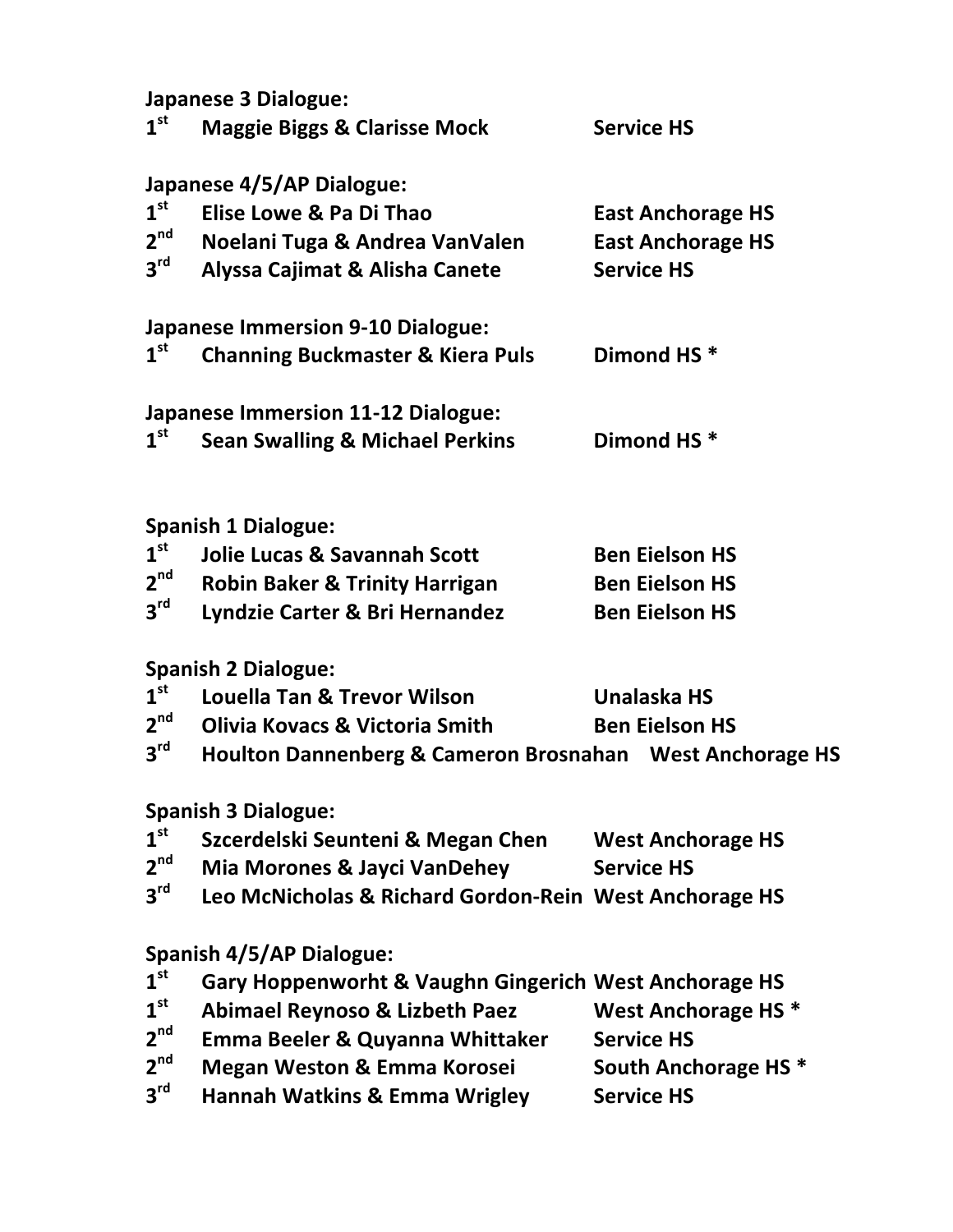**Japanese 3 Dialogue:**

| 1 <sup>st</sup>            | <b>Maggie Biggs &amp; Clarisse Mock</b>                  | <b>Service HS</b>               |  |  |  |
|----------------------------|----------------------------------------------------------|---------------------------------|--|--|--|
|                            | Japanese 4/5/AP Dialogue:                                |                                 |  |  |  |
| 1 <sup>st</sup>            | Elise Lowe & Pa Di Thao                                  | <b>East Anchorage HS</b>        |  |  |  |
| 2 <sup>nd</sup>            | Noelani Tuga & Andrea VanValen                           | <b>East Anchorage HS</b>        |  |  |  |
| 3 <sup>rd</sup>            | Alyssa Cajimat & Alisha Canete                           | <b>Service HS</b>               |  |  |  |
|                            |                                                          |                                 |  |  |  |
| 1 <sup>st</sup>            | <b>Japanese Immersion 9-10 Dialogue:</b>                 |                                 |  |  |  |
|                            | <b>Channing Buckmaster &amp; Kiera Puls</b>              | Dimond HS <sup>*</sup>          |  |  |  |
|                            | <b>Japanese Immersion 11-12 Dialogue:</b>                |                                 |  |  |  |
| 1 <sup>st</sup>            | <b>Sean Swalling &amp; Michael Perkins</b>               | Dimond HS <sup>*</sup>          |  |  |  |
|                            |                                                          |                                 |  |  |  |
|                            | <b>Spanish 1 Dialogue:</b>                               |                                 |  |  |  |
| 1 <sup>st</sup>            | <b>Jolie Lucas &amp; Savannah Scott</b>                  | <b>Ben Eielson HS</b>           |  |  |  |
| 2 <sup>nd</sup>            | <b>Robin Baker &amp; Trinity Harrigan</b>                | <b>Ben Eielson HS</b>           |  |  |  |
| 3 <sup>rd</sup>            | Lyndzie Carter & Bri Hernandez                           | <b>Ben Eielson HS</b>           |  |  |  |
|                            | <b>Spanish 2 Dialogue:</b>                               |                                 |  |  |  |
| 1 <sup>st</sup>            | <b>Louella Tan &amp; Trevor Wilson</b>                   | Unalaska HS                     |  |  |  |
| 2 <sup>nd</sup>            | Olivia Kovacs & Victoria Smith                           | <b>Ben Eielson HS</b>           |  |  |  |
| 3 <sup>rd</sup>            | Houlton Dannenberg & Cameron Brosnahan West Anchorage HS |                                 |  |  |  |
| <b>Spanish 3 Dialogue:</b> |                                                          |                                 |  |  |  |
| 1 <sup>st</sup>            | Szcerdelski Seunteni & Megan Chen                        | <b>West Anchorage HS</b>        |  |  |  |
| 2 <sup>nd</sup>            | <b>Mia Morones &amp; Jayci VanDehey</b>                  | <b>Service HS</b>               |  |  |  |
| 3 <sup>rd</sup>            | Leo McNicholas & Richard Gordon-Rein West Anchorage HS   |                                 |  |  |  |
|                            |                                                          |                                 |  |  |  |
|                            | <b>Spanish 4/5/AP Dialogue:</b>                          |                                 |  |  |  |
| 1 <sup>st</sup>            | Gary Hoppenworht & Vaughn Gingerich West Anchorage HS    |                                 |  |  |  |
| 1 <sup>st</sup>            | <b>Abimael Reynoso &amp; Lizbeth Paez</b>                | West Anchorage HS <sup>*</sup>  |  |  |  |
| 2 <sup>nd</sup>            | Emma Beeler & Quyanna Whittaker                          | <b>Service HS</b>               |  |  |  |
| 2 <sup>nd</sup>            | <b>Megan Weston &amp; Emma Korosei</b>                   | South Anchorage HS <sup>*</sup> |  |  |  |
| 3 <sup>rd</sup>            | <b>Hannah Watkins &amp; Emma Wrigley</b>                 | <b>Service HS</b>               |  |  |  |
|                            |                                                          |                                 |  |  |  |